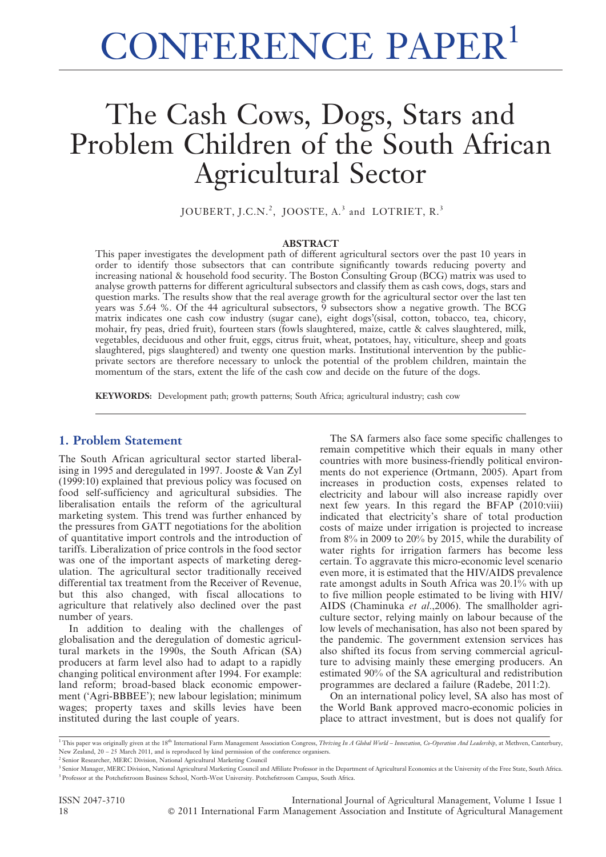# CONFERENCE PAPER<sup>1</sup>

# The Cash Cows, Dogs, Stars and Problem Children of the South African Agricultural Sector

JOUBERT, J.C.N.<sup>2</sup>, JOOSTE, A.<sup>3</sup> and LOTRIET, R.<sup>3</sup>

#### ABSTRACT

This paper investigates the development path of different agricultural sectors over the past 10 years in order to identify those subsectors that can contribute significantly towards reducing poverty and increasing national & household food security. The Boston Consulting Group (BCG) matrix was used to analyse growth patterns for different agricultural subsectors and classify them as cash cows, dogs, stars and question marks. The results show that the real average growth for the agricultural sector over the last ten years was 5.64 %. Of the 44 agricultural subsectors, 9 subsectors show a negative growth. The BCG matrix indicates one cash cow industry (sugar cane), eight dogs'(sisal, cotton, tobacco, tea, chicory, mohair, fry peas, dried fruit), fourteen stars (fowls slaughtered, maize, cattle & calves slaughtered, milk, vegetables, deciduous and other fruit, eggs, citrus fruit, wheat, potatoes, hay, viticulture, sheep and goats slaughtered, pigs slaughtered) and twenty one question marks. Institutional intervention by the publicprivate sectors are therefore necessary to unlock the potential of the problem children, maintain the momentum of the stars, extent the life of the cash cow and decide on the future of the dogs.

KEYWORDS: Development path; growth patterns; South Africa; agricultural industry; cash cow

# 1. Problem Statement

The South African agricultural sector started liberalising in 1995 and deregulated in 1997. Jooste & Van Zyl (1999:10) explained that previous policy was focused on food self-sufficiency and agricultural subsidies. The liberalisation entails the reform of the agricultural marketing system. This trend was further enhanced by the pressures from GATT negotiations for the abolition of quantitative import controls and the introduction of tariffs. Liberalization of price controls in the food sector was one of the important aspects of marketing deregulation. The agricultural sector traditionally received differential tax treatment from the Receiver of Revenue, but this also changed, with fiscal allocations to agriculture that relatively also declined over the past number of years.

In addition to dealing with the challenges of globalisation and the deregulation of domestic agricultural markets in the 1990s, the South African (SA) producers at farm level also had to adapt to a rapidly changing political environment after 1994. For example: land reform; broad-based black economic empowerment ('Agri-BBBEE'); new labour legislation; minimum wages; property taxes and skills levies have been instituted during the last couple of years.

The SA farmers also face some specific challenges to remain competitive which their equals in many other countries with more business-friendly political environments do not experience (Ortmann, 2005). Apart from increases in production costs, expenses related to electricity and labour will also increase rapidly over next few years. In this regard the BFAP (2010:viii) indicated that electricity's share of total production costs of maize under irrigation is projected to increase from 8% in 2009 to 20% by 2015, while the durability of water rights for irrigation farmers has become less certain. To aggravate this micro-economic level scenario even more, it is estimated that the HIV/AIDS prevalence rate amongst adults in South Africa was 20.1% with up to five million people estimated to be living with HIV/ AIDS (Chaminuka et al.,2006). The smallholder agriculture sector, relying mainly on labour because of the low levels of mechanisation, has also not been spared by the pandemic. The government extension services has also shifted its focus from serving commercial agriculture to advising mainly these emerging producers. An estimated 90% of the SA agricultural and redistribution programmes are declared a failure (Radebe, 2011:2).

On an international policy level, SA also has most of the World Bank approved macro-economic policies in place to attract investment, but is does not qualify for

<sup>1</sup> This paper was originally given at the 18<sup>th</sup> International Farm Management Association Congress, Thriving In A Global World – Innovation, Co-Operation And Leadership, at Methven, Canterbury, New Zealand, 20 – 25 March 2011, and is reproduced by kind permission of the conference organisers.

ISSN 2047-3710 International Journal of Agricultural Management, Volume 1 Issue 1 18 **C** 2011 International Farm Management Association and Institute of Agricultural Management

<sup>2</sup> Senior Researcher, MERC Division, National Agricultural Marketing Council

<sup>&</sup>lt;sup>1</sup> Senior Manager, MERC Division, National Agricultural Marketing Council and Affiliate Professor in the Department of Agricultural Economics at the University of the Free State, South Africa. <sup>3</sup> Professor at the Potchefstroom Business School, North-West University. Potchefstroom Campus, South Africa.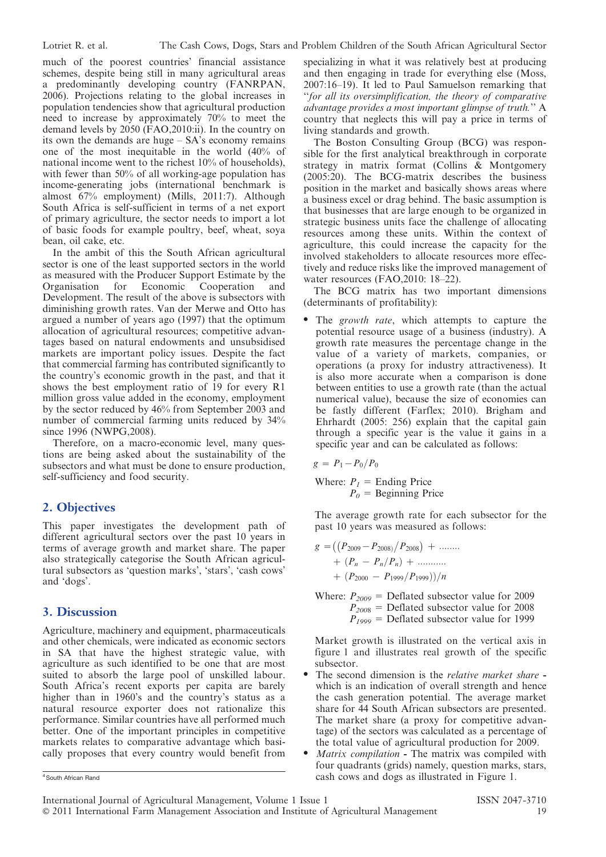much of the poorest countries' financial assistance schemes, despite being still in many agricultural areas a predominantly developing country (FANRPAN, 2006). Projections relating to the global increases in population tendencies show that agricultural production need to increase by approximately 70% to meet the demand levels by  $2050$  (FAO,  $2010$ :ii). In the country on its own the demands are huge – SA's economy remains one of the most inequitable in the world (40% of national income went to the richest 10% of households), with fewer than 50% of all working-age population has income-generating jobs (international benchmark is almost 67% employment) (Mills, 2011:7). Although South Africa is self-sufficient in terms of a net export of primary agriculture, the sector needs to import a lot of basic foods for example poultry, beef, wheat, soya bean, oil cake, etc.

In the ambit of this the South African agricultural sector is one of the least supported sectors in the world as measured with the Producer Support Estimate by the Organisation for Economic Cooperation and Organisation for Economic Cooperation Development. The result of the above is subsectors with diminishing growth rates. Van der Merwe and Otto has argued a number of years ago (1997) that the optimum allocation of agricultural resources; competitive advantages based on natural endowments and unsubsidised markets are important policy issues. Despite the fact that commercial farming has contributed significantly to the country's economic growth in the past, and that it shows the best employment ratio of 19 for every R1 million gross value added in the economy, employment by the sector reduced by 46% from September 2003 and number of commercial farming units reduced by 34% since 1996 (NWPG,2008).

Therefore, on a macro-economic level, many questions are being asked about the sustainability of the subsectors and what must be done to ensure production, self-sufficiency and food security.

# 2. Objectives

This paper investigates the development path of different agricultural sectors over the past 10 years in terms of average growth and market share. The paper also strategically categorise the South African agricultural subsectors as 'question marks', 'stars', 'cash cows' and 'dogs'.

#### 3. Discussion

Agriculture, machinery and equipment, pharmaceuticals and other chemicals, were indicated as economic sectors in SA that have the highest strategic value, with agriculture as such identified to be one that are most suited to absorb the large pool of unskilled labour. South Africa's recent exports per capita are barely higher than in 1960's and the country's status as a natural resource exporter does not rationalize this performance. Similar countries have all performed much better. One of the important principles in competitive markets relates to comparative advantage which basically proposes that every country would benefit from specializing in what it was relatively best at producing and then engaging in trade for everything else (Moss, 2007:16–19). It led to Paul Samuelson remarking that ''for all its oversimplification, the theory of comparative advantage provides a most important glimpse of truth.'' A country that neglects this will pay a price in terms of living standards and growth.

The Boston Consulting Group (BCG) was responsible for the first analytical breakthrough in corporate strategy in matrix format (Collins & Montgomery (2005:20). The BCG-matrix describes the business position in the market and basically shows areas where a business excel or drag behind. The basic assumption is that businesses that are large enough to be organized in strategic business units face the challenge of allocating resources among these units. Within the context of agriculture, this could increase the capacity for the involved stakeholders to allocate resources more effectively and reduce risks like the improved management of water resources (FAO, 2010: 18–22).

The BCG matrix has two important dimensions (determinants of profitability):

The growth rate, which attempts to capture the potential resource usage of a business (industry). A growth rate measures the percentage change in the value of a variety of markets, companies, or operations (a proxy for industry attractiveness). It is also more accurate when a comparison is done between entities to use a growth rate (than the actual numerical value), because the size of economies can be fastly different (Farflex; 2010). Brigham and Ehrhardt (2005: 256) explain that the capital gain through a specific year is the value it gains in a specific year and can be calculated as follows:

$$
g = P_1 - P_0/P_0
$$

Where:  $P_1$  = Ending Price  $P<sub>0</sub>$  = Beginning Price

The average growth rate for each subsector for the past 10 years was measured as follows:

$$
g = ((P_{2009} - P_{2008})/P_{2008}) + \dots
$$

$$
+ (P_n - P_n/P_n) + \dots
$$

$$
+ (P_{2000} - P_{1999}/P_{1999}))/n
$$

Where:  $P_{2009}$  = Deflated subsector value for 2009  $P_{2008}$  = Deflated subsector value for 2008  $P_{1999}$  = Deflated subsector value for 1999

Market growth is illustrated on the vertical axis in figure 1 and illustrates real growth of the specific subsector.

- The second dimension is the *relative market share* which is an indication of overall strength and hence the cash generation potential. The average market share for 44 South African subsectors are presented. The market share (a proxy for competitive advantage) of the sectors was calculated as a percentage of the total value of agricultural production for 2009.
- *Matrix compilation* The matrix was compiled with four quadrants (grids) namely, question marks, stars, A south African Rand **cash cows and dogs as illustrated in Figure 1.** Cash cows and dogs as illustrated in Figure 1.

International Journal of Agricultural Management, Volume 1 Issue 1 ISSN 2047-3710 ' 2011 International Farm Management Association and Institute of Agricultural Management 19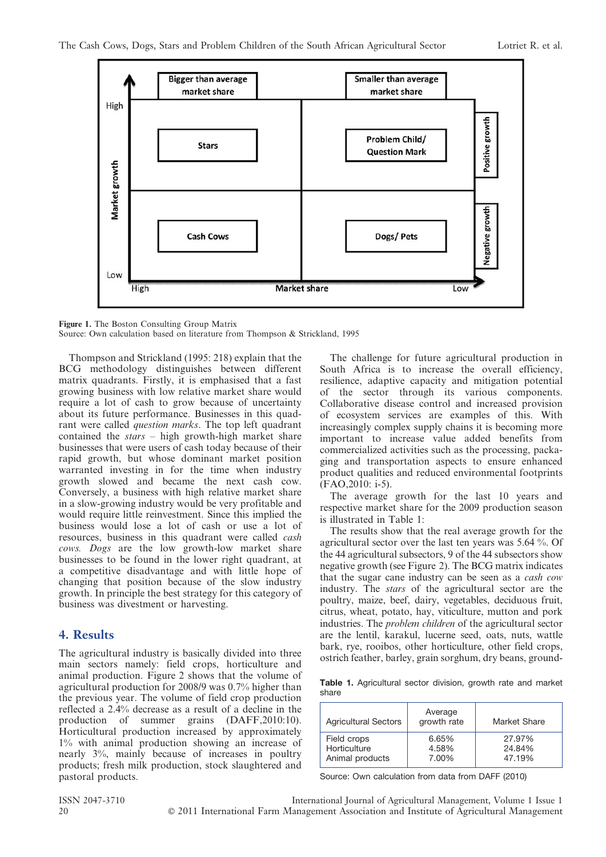

Figure 1. The Boston Consulting Group Matrix Source: Own calculation based on literature from Thompson & Strickland, 1995

Thompson and Strickland (1995: 218) explain that the BCG methodology distinguishes between different matrix quadrants. Firstly, it is emphasised that a fast growing business with low relative market share would require a lot of cash to grow because of uncertainty about its future performance. Businesses in this quadrant were called question marks. The top left quadrant contained the stars – high growth-high market share businesses that were users of cash today because of their rapid growth, but whose dominant market position warranted investing in for the time when industry growth slowed and became the next cash cow. Conversely, a business with high relative market share in a slow-growing industry would be very profitable and would require little reinvestment. Since this implied the business would lose a lot of cash or use a lot of resources, business in this quadrant were called *cash* cows. Dogs are the low growth-low market share businesses to be found in the lower right quadrant, at a competitive disadvantage and with little hope of changing that position because of the slow industry growth. In principle the best strategy for this category of business was divestment or harvesting.

# 4. Results

The agricultural industry is basically divided into three main sectors namely: field crops, horticulture and animal production. Figure 2 shows that the volume of agricultural production for 2008/9 was 0.7% higher than the previous year. The volume of field crop production reflected a 2.4% decrease as a result of a decline in the production of summer grains (DAFF,2010:10). Horticultural production increased by approximately 1% with animal production showing an increase of nearly 3%, mainly because of increases in poultry products; fresh milk production, stock slaughtered and pastoral products.

The challenge for future agricultural production in South Africa is to increase the overall efficiency, resilience, adaptive capacity and mitigation potential of the sector through its various components. Collaborative disease control and increased provision of ecosystem services are examples of this. With increasingly complex supply chains it is becoming more important to increase value added benefits from commercialized activities such as the processing, packaging and transportation aspects to ensure enhanced product qualities and reduced environmental footprints (FAO,2010: i-5).

The average growth for the last 10 years and respective market share for the 2009 production season is illustrated in Table 1:

The results show that the real average growth for the agricultural sector over the last ten years was 5.64 %. Of the 44 agricultural subsectors, 9 of the 44 subsectors show negative growth (see Figure 2). The BCG matrix indicates that the sugar cane industry can be seen as a cash cow industry. The stars of the agricultural sector are the poultry, maize, beef, dairy, vegetables, deciduous fruit, citrus, wheat, potato, hay, viticulture, mutton and pork industries. The problem children of the agricultural sector are the lentil, karakul, lucerne seed, oats, nuts, wattle bark, rye, rooibos, other horticulture, other field crops, ostrich feather, barley, grain sorghum, dry beans, ground-

Table 1. Agricultural sector division, growth rate and market share

| <b>Agricultural Sectors</b> | Average<br>growth rate | Market Share |
|-----------------------------|------------------------|--------------|
| Field crops                 | 6.65%                  | 27.97%       |
| Horticulture                | 4.58%                  | 24.84%       |
| Animal products             | 7.00%                  | 47.19%       |

Source: Own calculation from data from DAFF (2010)

ISSN 2047-3710 International Journal of Agricultural Management, Volume 1 Issue 1 20 **2011** 2011 International Farm Management Association and Institute of Agricultural Management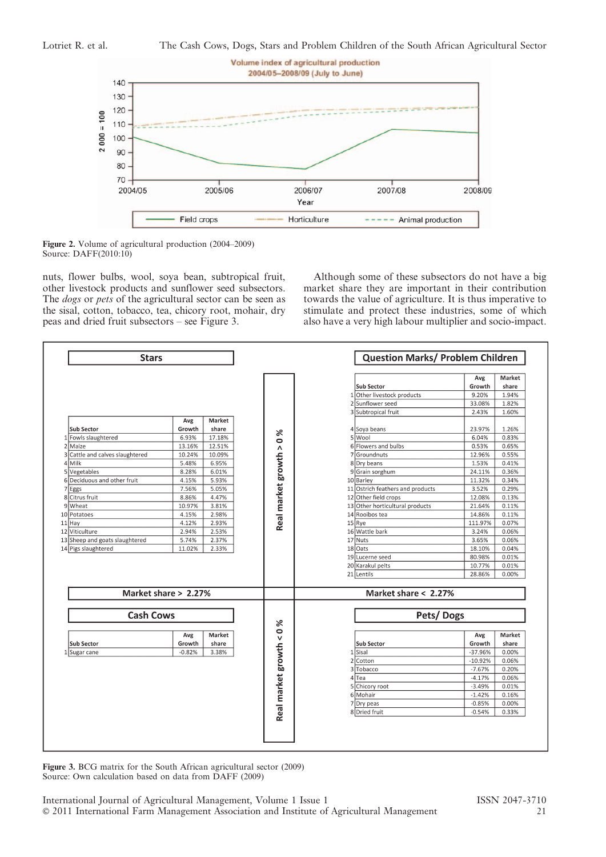



nuts, flower bulbs, wool, soya bean, subtropical fruit, other livestock products and sunflower seed subsectors. The *dogs* or *pets* of the agricultural sector can be seen as the sisal, cotton, tobacco, tea, chicory root, mohair, dry peas and dried fruit subsectors – see Figure 3.

Although some of these subsectors do not have a big market share they are important in their contribution towards the value of agriculture. It is thus imperative to stimulate and protect these industries, some of which also have a very high labour multiplier and socio-impact.



Figure 3. BCG matrix for the South African agricultural sector (2009) Source: Own calculation based on data from DAFF (2009)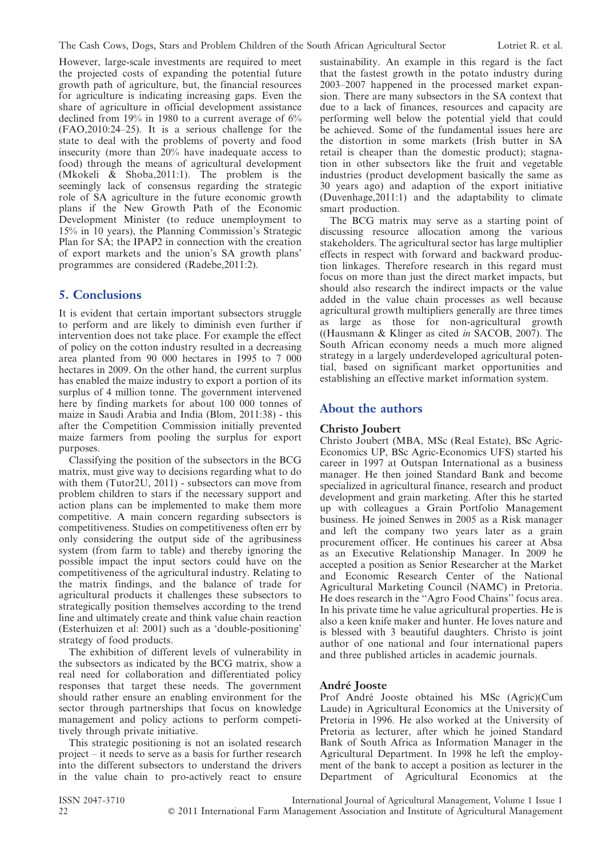However, large-scale investments are required to meet the projected costs of expanding the potential future growth path of agriculture, but, the financial resources for agriculture is indicating increasing gaps. Even the share of agriculture in official development assistance declined from 19% in 1980 to a current average of 6% (FAO,2010:24–25). It is a serious challenge for the state to deal with the problems of poverty and food insecurity (more than 20% have inadequate access to food) through the means of agricultural development (Mkokeli & Shoba,2011:1). The problem is the seemingly lack of consensus regarding the strategic role of SA agriculture in the future economic growth plans if the New Growth Path of the Economic Development Minister (to reduce unemployment to 15% in 10 years), the Planning Commission's Strategic Plan for SA; the IPAP2 in connection with the creation of export markets and the union's SA growth plans' programmes are considered (Radebe,2011:2).

# 5. Conclusions

It is evident that certain important subsectors struggle to perform and are likely to diminish even further if intervention does not take place. For example the effect of policy on the cotton industry resulted in a decreasing area planted from 90 000 hectares in 1995 to 7 000 hectares in 2009. On the other hand, the current surplus has enabled the maize industry to export a portion of its surplus of 4 million tonne. The government intervened here by finding markets for about 100 000 tonnes of maize in Saudi Arabia and India (Blom, 2011:38) - this after the Competition Commission initially prevented maize farmers from pooling the surplus for export purposes.

Classifying the position of the subsectors in the BCG matrix, must give way to decisions regarding what to do with them (Tutor2U, 2011) - subsectors can move from problem children to stars if the necessary support and action plans can be implemented to make them more competitive. A main concern regarding subsectors is competitiveness. Studies on competitiveness often err by only considering the output side of the agribusiness system (from farm to table) and thereby ignoring the possible impact the input sectors could have on the competitiveness of the agricultural industry. Relating to the matrix findings, and the balance of trade for agricultural products it challenges these subsectors to strategically position themselves according to the trend line and ultimately create and think value chain reaction (Esterhuizen et al: 2001) such as a 'double-positioning' strategy of food products.

The exhibition of different levels of vulnerability in the subsectors as indicated by the BCG matrix, show a real need for collaboration and differentiated policy responses that target these needs. The government should rather ensure an enabling environment for the sector through partnerships that focus on knowledge management and policy actions to perform competitively through private initiative.

This strategic positioning is not an isolated research project – it needs to serve as a basis for further research into the different subsectors to understand the drivers in the value chain to pro-actively react to ensure sustainability. An example in this regard is the fact that the fastest growth in the potato industry during 2003–2007 happened in the processed market expansion. There are many subsectors in the SA context that due to a lack of finances, resources and capacity are performing well below the potential yield that could be achieved. Some of the fundamental issues here are the distortion in some markets (Irish butter in SA retail is cheaper than the domestic product); stagnation in other subsectors like the fruit and vegetable industries (product development basically the same as 30 years ago) and adaption of the export initiative (Duvenhage,2011:1) and the adaptability to climate smart production.

The BCG matrix may serve as a starting point of discussing resource allocation among the various stakeholders. The agricultural sector has large multiplier effects in respect with forward and backward production linkages. Therefore research in this regard must focus on more than just the direct market impacts, but should also research the indirect impacts or the value added in the value chain processes as well because agricultural growth multipliers generally are three times as large as those for non-agricultural growth ((Hausmann & Klinger as cited in SACOB, 2007). The South African economy needs a much more aligned strategy in a largely underdeveloped agricultural potential, based on significant market opportunities and establishing an effective market information system.

# About the authors

#### Christo Joubert

Christo Joubert (MBA, MSc (Real Estate), BSc Agric-Economics UP, BSc Agric-Economics UFS) started his career in 1997 at Outspan International as a business manager. He then joined Standard Bank and become specialized in agricultural finance, research and product development and grain marketing. After this he started up with colleagues a Grain Portfolio Management business. He joined Senwes in 2005 as a Risk manager and left the company two years later as a grain procurement officer. He continues his career at Absa as an Executive Relationship Manager. In 2009 he accepted a position as Senior Researcher at the Market and Economic Research Center of the National Agricultural Marketing Council (NAMC) in Pretoria. He does research in the ''Agro Food Chains'' focus area. In his private time he value agricultural properties. He is also a keen knife maker and hunter. He loves nature and is blessed with 3 beautiful daughters. Christo is joint author of one national and four international papers and three published articles in academic journals.

#### André Jooste

Prof André Jooste obtained his MSc (Agric)(Cum Laude) in Agricultural Economics at the University of Pretoria in 1996. He also worked at the University of Pretoria as lecturer, after which he joined Standard Bank of South Africa as Information Manager in the Agricultural Department. In 1998 he left the employment of the bank to accept a position as lecturer in the Department of Agricultural Economics at the